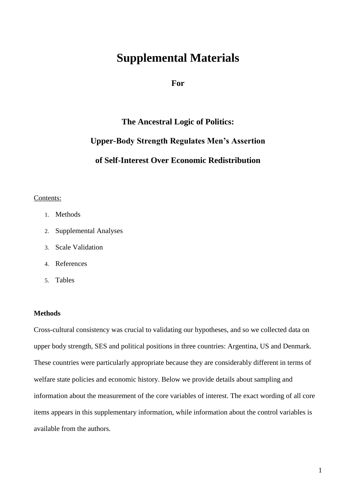# **Supplemental Materials**

**For**

# **The Ancestral Logic of Politics: Upper-Body Strength Regulates Men's Assertion of Self-Interest Over Economic Redistribution**

# Contents:

- 1. Methods
- 2. Supplemental Analyses
- 3. Scale Validation
- 4. References
- 5. Tables

# **Methods**

Cross-cultural consistency was crucial to validating our hypotheses, and so we collected data on upper body strength, SES and political positions in three countries: Argentina, US and Denmark. These countries were particularly appropriate because they are considerably different in terms of welfare state policies and economic history. Below we provide details about sampling and information about the measurement of the core variables of interest. The exact wording of all core items appears in this supplementary information, while information about the control variables is available from the authors.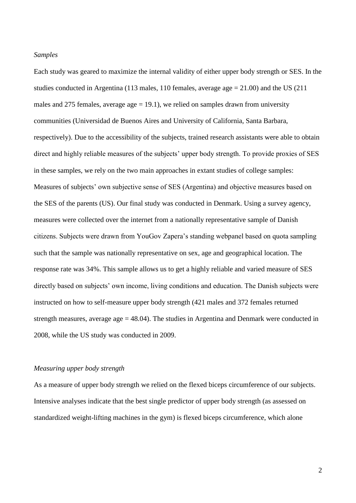#### *Samples*

Each study was geared to maximize the internal validity of either upper body strength or SES. In the studies conducted in Argentina (113 males, 110 females, average age = 21.00) and the US (211 males and 275 females, average age  $= 19.1$ ), we relied on samples drawn from university communities (Universidad de Buenos Aires and University of California, Santa Barbara, respectively). Due to the accessibility of the subjects, trained research assistants were able to obtain direct and highly reliable measures of the subjects' upper body strength. To provide proxies of SES in these samples, we rely on the two main approaches in extant studies of college samples: Measures of subjects' own subjective sense of SES (Argentina) and objective measures based on the SES of the parents (US). Our final study was conducted in Denmark. Using a survey agency, measures were collected over the internet from a nationally representative sample of Danish citizens. Subjects were drawn from YouGov Zapera's standing webpanel based on quota sampling such that the sample was nationally representative on sex, age and geographical location. The response rate was 34%. This sample allows us to get a highly reliable and varied measure of SES directly based on subjects' own income, living conditions and education. The Danish subjects were instructed on how to self-measure upper body strength (421 males and 372 females returned strength measures, average age  $= 48.04$ ). The studies in Argentina and Denmark were conducted in 2008, while the US study was conducted in 2009.

# *Measuring upper body strength*

As a measure of upper body strength we relied on the flexed biceps circumference of our subjects. Intensive analyses indicate that the best single predictor of upper body strength (as assessed on standardized weight-lifting machines in the gym) is flexed biceps circumference, which alone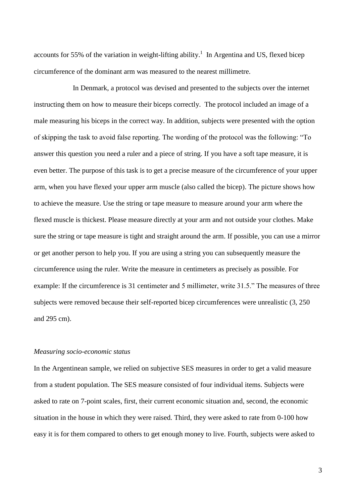accounts for 55% of the variation in weight-lifting ability.<sup>1</sup> In Argentina and US, flexed bicep circumference of the dominant arm was measured to the nearest millimetre.

In Denmark, a protocol was devised and presented to the subjects over the internet instructing them on how to measure their biceps correctly. The protocol included an image of a male measuring his biceps in the correct way. In addition, subjects were presented with the option of skipping the task to avoid false reporting. The wording of the protocol was the following: "To answer this question you need a ruler and a piece of string. If you have a soft tape measure, it is even better. The purpose of this task is to get a precise measure of the circumference of your upper arm, when you have flexed your upper arm muscle (also called the bicep). The picture shows how to achieve the measure. Use the string or tape measure to measure around your arm where the flexed muscle is thickest. Please measure directly at your arm and not outside your clothes. Make sure the string or tape measure is tight and straight around the arm. If possible, you can use a mirror or get another person to help you. If you are using a string you can subsequently measure the circumference using the ruler. Write the measure in centimeters as precisely as possible. For example: If the circumference is 31 centimeter and 5 millimeter, write 31.5." The measures of three subjects were removed because their self-reported bicep circumferences were unrealistic (3, 250 and 295 cm).

# *Measuring socio-economic status*

In the Argentinean sample, we relied on subjective SES measures in order to get a valid measure from a student population. The SES measure consisted of four individual items. Subjects were asked to rate on 7-point scales, first, their current economic situation and, second, the economic situation in the house in which they were raised. Third, they were asked to rate from 0-100 how easy it is for them compared to others to get enough money to live. Fourth, subjects were asked to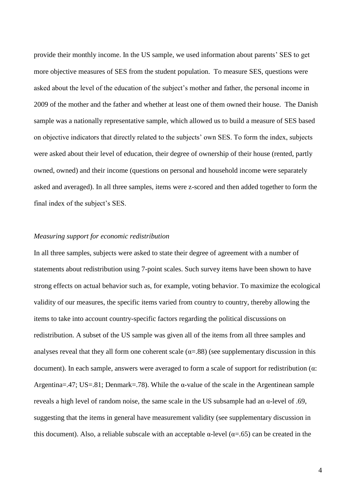provide their monthly income. In the US sample, we used information about parents' SES to get more objective measures of SES from the student population. To measure SES, questions were asked about the level of the education of the subject's mother and father, the personal income in 2009 of the mother and the father and whether at least one of them owned their house. The Danish sample was a nationally representative sample, which allowed us to build a measure of SES based on objective indicators that directly related to the subjects' own SES. To form the index, subjects were asked about their level of education, their degree of ownership of their house (rented, partly owned, owned) and their income (questions on personal and household income were separately asked and averaged). In all three samples, items were z-scored and then added together to form the final index of the subject's SES.

#### *Measuring support for economic redistribution*

In all three samples, subjects were asked to state their degree of agreement with a number of statements about redistribution using 7-point scales. Such survey items have been shown to have strong effects on actual behavior such as, for example, voting behavior. To maximize the ecological validity of our measures, the specific items varied from country to country, thereby allowing the items to take into account country-specific factors regarding the political discussions on redistribution. A subset of the US sample was given all of the items from all three samples and analyses reveal that they all form one coherent scale  $(\alpha = .88)$  (see supplementary discussion in this document). In each sample, answers were averaged to form a scale of support for redistribution (α: Argentina=.47; US=.81; Denmark=.78). While the  $\alpha$ -value of the scale in the Argentinean sample reveals a high level of random noise, the same scale in the US subsample had an α-level of .69, suggesting that the items in general have measurement validity (see supplementary discussion in this document). Also, a reliable subscale with an acceptable α-level ( $α=0.65$ ) can be created in the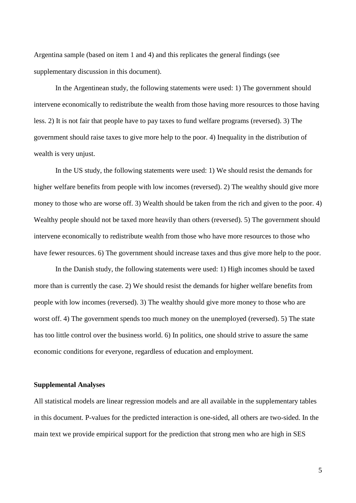Argentina sample (based on item 1 and 4) and this replicates the general findings (see supplementary discussion in this document).

In the Argentinean study, the following statements were used: 1) The government should intervene economically to redistribute the wealth from those having more resources to those having less. 2) It is not fair that people have to pay taxes to fund welfare programs (reversed). 3) The government should raise taxes to give more help to the poor. 4) Inequality in the distribution of wealth is very unjust.

In the US study, the following statements were used: 1) We should resist the demands for higher welfare benefits from people with low incomes (reversed). 2) The wealthy should give more money to those who are worse off. 3) Wealth should be taken from the rich and given to the poor. 4) Wealthy people should not be taxed more heavily than others (reversed). 5) The government should intervene economically to redistribute wealth from those who have more resources to those who have fewer resources. 6) The government should increase taxes and thus give more help to the poor.

In the Danish study, the following statements were used: 1) High incomes should be taxed more than is currently the case. 2) We should resist the demands for higher welfare benefits from people with low incomes (reversed). 3) The wealthy should give more money to those who are worst off. 4) The government spends too much money on the unemployed (reversed). 5) The state has too little control over the business world. 6) In politics, one should strive to assure the same economic conditions for everyone, regardless of education and employment.

#### **Supplemental Analyses**

All statistical models are linear regression models and are all available in the supplementary tables in this document. P-values for the predicted interaction is one-sided, all others are two-sided. In the main text we provide empirical support for the prediction that strong men who are high in SES

5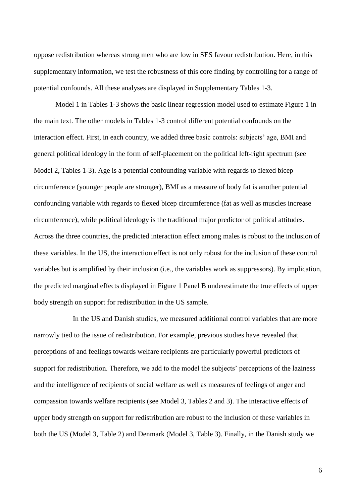oppose redistribution whereas strong men who are low in SES favour redistribution. Here, in this supplementary information, we test the robustness of this core finding by controlling for a range of potential confounds. All these analyses are displayed in Supplementary Tables 1-3.

Model 1 in Tables 1-3 shows the basic linear regression model used to estimate Figure 1 in the main text. The other models in Tables 1-3 control different potential confounds on the interaction effect. First, in each country, we added three basic controls: subjects' age, BMI and general political ideology in the form of self-placement on the political left-right spectrum (see Model 2, Tables 1-3). Age is a potential confounding variable with regards to flexed bicep circumference (younger people are stronger), BMI as a measure of body fat is another potential confounding variable with regards to flexed bicep circumference (fat as well as muscles increase circumference), while political ideology is the traditional major predictor of political attitudes. Across the three countries, the predicted interaction effect among males is robust to the inclusion of these variables. In the US, the interaction effect is not only robust for the inclusion of these control variables but is amplified by their inclusion (i.e., the variables work as suppressors). By implication, the predicted marginal effects displayed in Figure 1 Panel B underestimate the true effects of upper body strength on support for redistribution in the US sample.

In the US and Danish studies, we measured additional control variables that are more narrowly tied to the issue of redistribution. For example, previous studies have revealed that perceptions of and feelings towards welfare recipients are particularly powerful predictors of support for redistribution. Therefore, we add to the model the subjects' perceptions of the laziness and the intelligence of recipients of social welfare as well as measures of feelings of anger and compassion towards welfare recipients (see Model 3, Tables 2 and 3). The interactive effects of upper body strength on support for redistribution are robust to the inclusion of these variables in both the US (Model 3, Table 2) and Denmark (Model 3, Table 3). Finally, in the Danish study we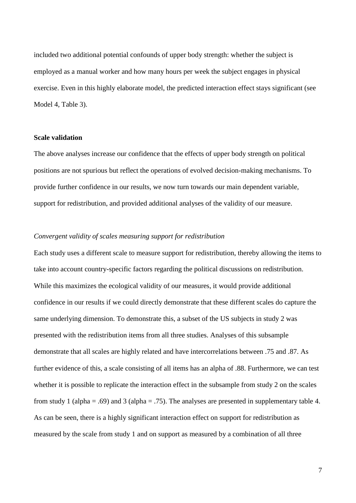included two additional potential confounds of upper body strength: whether the subject is employed as a manual worker and how many hours per week the subject engages in physical exercise. Even in this highly elaborate model, the predicted interaction effect stays significant (see Model 4, Table 3).

### **Scale validation**

The above analyses increase our confidence that the effects of upper body strength on political positions are not spurious but reflect the operations of evolved decision-making mechanisms. To provide further confidence in our results, we now turn towards our main dependent variable, support for redistribution, and provided additional analyses of the validity of our measure.

# *Convergent validity of scales measuring support for redistribution*

Each study uses a different scale to measure support for redistribution, thereby allowing the items to take into account country-specific factors regarding the political discussions on redistribution. While this maximizes the ecological validity of our measures, it would provide additional confidence in our results if we could directly demonstrate that these different scales do capture the same underlying dimension. To demonstrate this, a subset of the US subjects in study 2 was presented with the redistribution items from all three studies. Analyses of this subsample demonstrate that all scales are highly related and have intercorrelations between .75 and .87. As further evidence of this, a scale consisting of all items has an alpha of .88. Furthermore, we can test whether it is possible to replicate the interaction effect in the subsample from study 2 on the scales from study 1 (alpha = .69) and 3 (alpha = .75). The analyses are presented in supplementary table 4. As can be seen, there is a highly significant interaction effect on support for redistribution as measured by the scale from study 1 and on support as measured by a combination of all three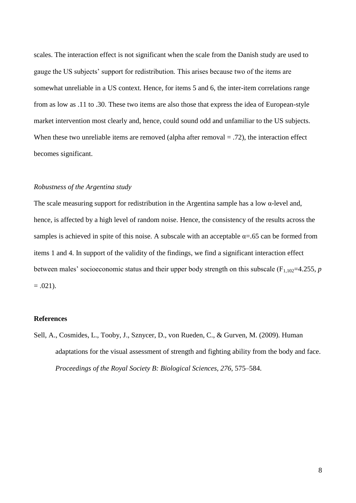scales. The interaction effect is not significant when the scale from the Danish study are used to gauge the US subjects' support for redistribution. This arises because two of the items are somewhat unreliable in a US context. Hence, for items 5 and 6, the inter-item correlations range from as low as .11 to .30. These two items are also those that express the idea of European-style market intervention most clearly and, hence, could sound odd and unfamiliar to the US subjects. When these two unreliable items are removed (alpha after removal  $= .72$ ), the interaction effect becomes significant.

## *Robustness of the Argentina study*

The scale measuring support for redistribution in the Argentina sample has a low  $\alpha$ -level and, hence, is affected by a high level of random noise. Hence, the consistency of the results across the samples is achieved in spite of this noise. A subscale with an acceptable  $\alpha = .65$  can be formed from items 1 and 4. In support of the validity of the findings, we find a significant interaction effect between males' socioeconomic status and their upper body strength on this subscale ( $F_{1,102}=4.255$ , *p*  $=.021).$ 

#### **References**

Sell, A., Cosmides, L., Tooby, J., Sznycer, D., von Rueden, C., & Gurven, M. (2009). Human adaptations for the visual assessment of strength and fighting ability from the body and face. *Proceedings of the Royal Society B: Biological Sciences, 276,* 575–584.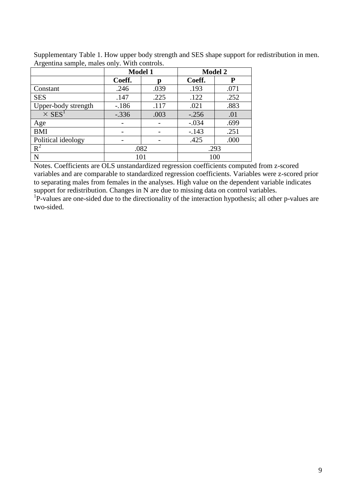| $\circ$                   | <b>Model 1</b> |      | <b>Model 2</b> |      |  |
|---------------------------|----------------|------|----------------|------|--|
|                           | Coeff.         | D    | Coeff.         | P    |  |
| Constant                  | .246           | .039 | .193           | .071 |  |
| <b>SES</b>                | .147           | .225 | .122           | .252 |  |
| Upper-body strength       | $-186$         | .117 | .021           | .883 |  |
| $\times$ SES <sup>1</sup> | $-.336$        | .003 | $-0.256$       | .01  |  |
| Age                       |                |      | $-.034$        | .699 |  |
| <b>BMI</b>                |                |      | $-.143$        | .251 |  |
| Political ideology        |                |      | .425           | .000 |  |
| $R^2$                     |                | .082 | .293           |      |  |
| N                         |                | 101  | 100            |      |  |

Supplementary Table 1. How upper body strength and SES shape support for redistribution in men. Argentina sample, males only. With controls.

Notes. Coefficients are OLS unstandardized regression coefficients computed from z-scored variables and are comparable to standardized regression coefficients. Variables were z-scored prior to separating males from females in the analyses. High value on the dependent variable indicates support for redistribution. Changes in N are due to missing data on control variables.

<sup>1</sup>P-values are one-sided due to the directionality of the interaction hypothesis; all other p-values are two-sided.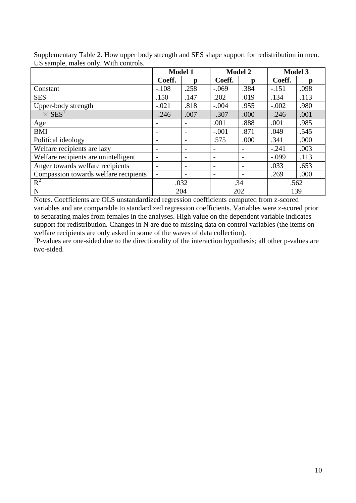|                                       | <b>Model 1</b> |                          | <b>Model 2</b>           |      | <b>Model 3</b> |      |
|---------------------------------------|----------------|--------------------------|--------------------------|------|----------------|------|
|                                       | Coeff.         | n                        | Coeff.                   | n    | Coeff.         |      |
| Constant                              | $-.108$        | .258                     | $-.069$                  | .384 | $-.151$        | .098 |
| <b>SES</b>                            | .150           | .147                     | .202                     | .019 | .134           | .113 |
| Upper-body strength                   | $-.021$        | .818                     | $-.004$                  | .955 | $-.002$        | .980 |
| $\times$ SES <sup>1</sup>             | $-.246$        | .007                     | $-.307$                  | .000 | $-.246$        | .001 |
| Age                                   |                |                          | .001                     | .888 | .001           | .985 |
| <b>BMI</b>                            |                |                          | $-.001$                  | .871 | .049           | .545 |
| Political ideology                    |                |                          | .575                     | .000 | .341           | .000 |
| Welfare recipients are lazy           |                |                          |                          |      | $-.241$        | .003 |
| Welfare recipients are unintelligent  |                | $\overline{\phantom{0}}$ | $\overline{\phantom{0}}$ |      | $-.099$        | .113 |
| Anger towards welfare recipients      | -              |                          | $\overline{\phantom{0}}$ |      | .033           | .653 |
| Compassion towards welfare recipients |                |                          | $\overline{\phantom{0}}$ |      | .269           | .000 |
| $R^2$                                 | .032           |                          | .34                      |      | .562           |      |
| $\mathbf N$                           | 204            |                          | 202                      |      | 139            |      |

Supplementary Table 2. How upper body strength and SES shape support for redistribution in men. US sample, males only. With controls.

Notes. Coefficients are OLS unstandardized regression coefficients computed from z-scored variables and are comparable to standardized regression coefficients. Variables were z-scored prior to separating males from females in the analyses. High value on the dependent variable indicates support for redistribution. Changes in N are due to missing data on control variables (the items on welfare recipients are only asked in some of the waves of data collection).

<sup>1</sup>P-values are one-sided due to the directionality of the interaction hypothesis; all other p-values are two-sided.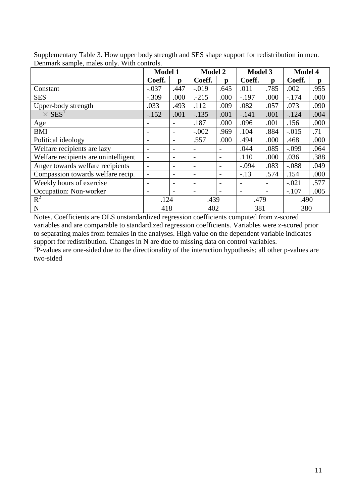|                                      | <b>Model 1</b>           |                          | <b>Model 2</b>           |                          | <b>Model 3</b>               |      | <b>Model 4</b> |      |
|--------------------------------------|--------------------------|--------------------------|--------------------------|--------------------------|------------------------------|------|----------------|------|
|                                      | Coeff.                   | p                        | Coeff.                   | p                        | Coeff.                       | p    | Coeff.         | p    |
| Constant                             | $-.037$                  | .447                     | $-0.019$                 | .645                     | .011                         | .785 | .002           | .955 |
| <b>SES</b>                           | $-.309$                  | .000                     | $-215$                   | .000                     | $-.197$                      | .000 | $-.174$        | .000 |
| Upper-body strength                  | .033                     | .493                     | .112                     | .009                     | .082                         | .057 | .073           | .090 |
| $\times$ SES <sup>1</sup>            | $-.152$                  | .001                     | $-.135$                  | .001                     | $-.141$                      | .001 | $-124$         | .004 |
| Age                                  |                          |                          | .187                     | .000                     | .096                         | .001 | .156           | .000 |
| <b>BMI</b>                           |                          |                          | $-.002$                  | .969                     | .104                         | .884 | $-.015$        | .71  |
| Political ideology                   |                          |                          | .557                     | .000                     | .494                         | .000 | .468           | .000 |
| Welfare recipients are lazy          | $\overline{\phantom{m}}$ | $\overline{\phantom{a}}$ | $\overline{\phantom{a}}$ | $\overline{\phantom{a}}$ | .044                         | .085 | $-.099$        | .064 |
| Welfare recipients are unintelligent |                          |                          | $\qquad \qquad$          | $\overline{\phantom{a}}$ | .110                         | .000 | .036           | .388 |
| Anger towards welfare recipients     |                          |                          | $\overline{\phantom{a}}$ | $\overline{\phantom{a}}$ | $-.094$                      | .083 | $-.088$        | .049 |
| Compassion towards welfare recip.    | $\overline{\phantom{a}}$ | $\overline{\phantom{a}}$ | $\overline{\phantom{a}}$ | $\overline{\phantom{a}}$ | $-.13$                       | .574 | .154           | .000 |
| Weekly hours of exercise             |                          |                          | $\overline{\phantom{a}}$ | $\overline{\phantom{a}}$ | $\overline{\phantom{0}}$     |      | $-.021$        | .577 |
| Occupation: Non-worker               |                          |                          |                          |                          | $\qquad \qquad \blacksquare$ |      | $-.107$        | .005 |
| $R^2$                                | .124                     |                          | .439                     |                          | .479                         |      | .490           |      |
| ${\bf N}$                            | 418                      |                          | 402                      |                          | 381                          |      | 380            |      |

Supplementary Table 3. How upper body strength and SES shape support for redistribution in men. Denmark sample, males only. With controls.

Notes. Coefficients are OLS unstandardized regression coefficients computed from z-scored variables and are comparable to standardized regression coefficients. Variables were z-scored prior to separating males from females in the analyses. High value on the dependent variable indicates support for redistribution. Changes in N are due to missing data on control variables. <sup>1</sup>P-values are one-sided due to the directionality of the interaction hypothesis; all other p-values are two-sided